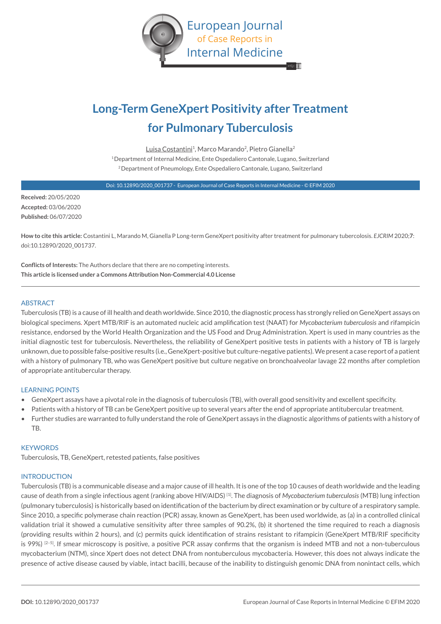

# **Long-Term GeneXpert Positivity after Treatment for Pulmonary Tuberculosis**

Luisa Costantini<sup>1</sup>, Marco Marando<sup>2</sup>, Pietro Gianella<sup>2</sup> 1 Department of Internal Medicine, Ente Ospedaliero Cantonale, Lugano, Switzerland 2 Department of Pneumology, Ente Ospedaliero Cantonale, Lugano, Switzerland

Doi: 10.12890/2020\_001737 - European Journal of Case Reports in Internal Medicine - © EFIM 2020

**Received:** 20/05/2020 **Accepted:** 03/06/2020 **Published:** 06/07/2020

**How to cite this article:** Costantini L, Marando M, Gianella P Long-term GeneXpert positivity after treatment for pulmonary tubercolosis. *EJCRIM* 2020;**7**: doi:10.12890/2020\_001737.

**Conflicts of Interests:** The Authors declare that there are no competing interests. **This article is licensed under a Commons Attribution Non-Commercial 4.0 License**

## ABSTRACT

Tuberculosis (TB) is a cause of ill health and death worldwide. Since 2010, the diagnostic process has strongly relied on GeneXpert assays on biological specimens. Xpert MTB/RIF is an automated nucleic acid amplification test (NAAT) for *Mycobacterium tuberculosis* and rifampicin resistance, endorsed by the World Health Organization and the US Food and Drug Administration. Xpert is used in many countries as the initial diagnostic test for tuberculosis. Nevertheless, the reliability of GeneXpert positive tests in patients with a history of TB is largely unknown, due to possible false-positive results (i.e., GeneXpert-positive but culture-negative patients). We present a case report of a patient with a history of pulmonary TB, who was GeneXpert positive but culture negative on bronchoalveolar lavage 22 months after completion of appropriate antitubercular therapy.

## LEARNING POINTS

- GeneXpert assays have a pivotal role in the diagnosis of tuberculosis (TB), with overall good sensitivity and excellent specificity.
- Patients with a history of TB can be GeneXpert positive up to several years after the end of appropriate antitubercular treatment.
- Further studies are warranted to fully understand the role of GeneXpert assays in the diagnostic algorithms of patients with a history of TB.

## **KEYWORDS**

Tuberculosis, TB, GeneXpert, retested patients, false positives

## INTRODUCTION

Tuberculosis (TB) is a communicable disease and a major cause of ill health. It is one of the top 10 causes of death worldwide and the leading cause of death from a single infectious agent (ranking above HIV/AIDS) [1]. The diagnosis of *Mycobacterium tuberculosis* (MTB) lung infection (pulmonary tuberculosis) is historically based on identification of the bacterium by direct examination or by culture of a respiratory sample. Since 2010, a specific polymerase chain reaction (PCR) assay, known as GeneXpert, has been used worldwide, as (a) in a controlled clinical validation trial it showed a cumulative sensitivity after three samples of 90.2%, (b) it shortened the time required to reach a diagnosis (providing results within 2 hours), and (c) permits quick identification of strains resistant to rifampicin (GeneXpert MTB/RIF specificity is 99%)  $[2-5]$ . If smear microscopy is positive, a positive PCR assay confirms that the organism is indeed MTB and not a non-tuberculous mycobacterium (NTM), since Xpert does not detect DNA from nontuberculous mycobacteria. However, this does not always indicate the presence of active disease caused by viable, intact bacilli, because of the inability to distinguish genomic DNA from nonintact cells, which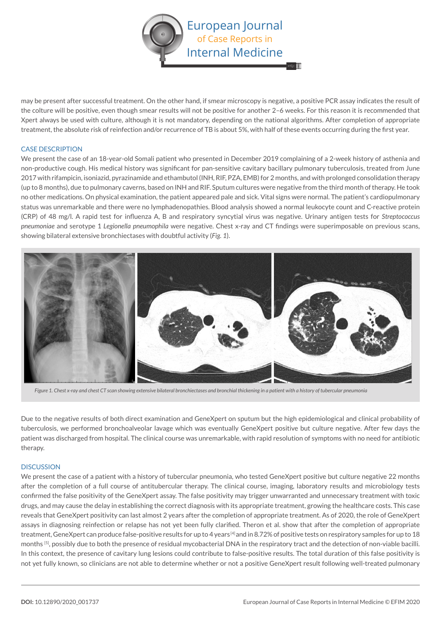

may be present after successful treatment. On the other hand, if smear microscopy is negative, a positive PCR assay indicates the result of the colture will be positive, even though smear results will not be positive for another 2–6 weeks. For this reason it is recommended that Xpert always be used with culture, although it is not mandatory, depending on the national algorithms. After completion of appropriate treatment, the absolute risk of reinfection and/or recurrence of TB is about 5%, with half of these events occurring during the first year.

## CASE DESCRIPTION

We present the case of an 18-year-old Somali patient who presented in December 2019 complaining of a 2-week history of asthenia and non-productive cough. His medical history was significant for pan-sensitive cavitary bacillary pulmonary tuberculosis, treated from June 2017 with rifampicin, isoniazid, pyrazinamide and ethambutol (INH, RIF, PZA, EMB) for 2 months, and with prolonged consolidation therapy (up to 8 months), due to pulmonary caverns, based on INH and RIF. Sputum cultures were negative from the third month of therapy. He took no other medications. On physical examination, the patient appeared pale and sick. Vital signs were normal. The patient's cardiopulmonary status was unremarkable and there were no lymphadenopathies. Blood analysis showed a normal leukocyte count and C-reactive protein (CRP) of 48 mg/l. A rapid test for influenza A, B and respiratory syncytial virus was negative. Urinary antigen tests for *Streptococcus pneumoniae* and serotype 1 *Legionella pneumophila* were negative. Chest x-ray and CT findings were superimposable on previous scans, showing bilateral extensive bronchiectases with doubtful activity (*Fig. 1*).



Figure 1. Chest x-ray and chest CT scan showing extensive bilateral bronchiectases and bronchial thickening in a patient with a history of tubercular pneumonia

Due to the negative results of both direct examination and GeneXpert on sputum but the high epidemiological and clinical probability of tuberculosis, we performed bronchoalveolar lavage which was eventually GeneXpert positive but culture negative. After few days the patient was discharged from hospital. The clinical course was unremarkable, with rapid resolution of symptoms with no need for antibiotic therapy.

## **DISCUSSION**

We present the case of a patient with a history of tubercular pneumonia, who tested GeneXpert positive but culture negative 22 months after the completion of a full course of antitubercular therapy. The clinical course, imaging, laboratory results and microbiology tests confirmed the false positivity of the GeneXpert assay. The false positivity may trigger unwarranted and unnecessary treatment with toxic drugs, and may cause the delay in establishing the correct diagnosis with its appropriate treatment, growing the healthcare costs. This case reveals that GeneXpert positivity can last almost 2 years after the completion of appropriate treatment. As of 2020, the role of GeneXpert assays in diagnosing reinfection or relapse has not yet been fully clarified. Theron et al. show that after the completion of appropriate treatment, GeneXpert can produce false-positive results for up to 4 years [4] and in 8.72% of positive tests on respiratory samples for up to 18 months <sup>[5]</sup>, possibly due to both the presence of residual mycobacterial DNA in the respiratory tract and the detection of non-viable bacilli. In this context, the presence of cavitary lung lesions could contribute to false-positive results. The total duration of this false positivity is not yet fully known, so clinicians are not able to determine whether or not a positive GeneXpert result following well-treated pulmonary